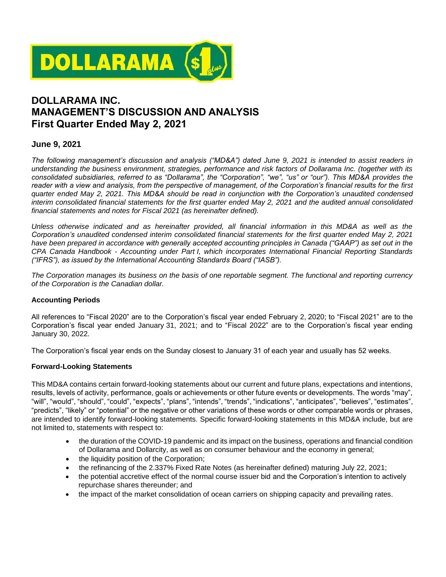

# **DOLLARAMA INC. MANAGEMENT'S DISCUSSION AND ANALYSIS First Quarter Ended May 2, 2021**

## **June 9, 2021**

*The following management's discussion and analysis ("MD&A") dated June 9, 2021 is intended to assist readers in understanding the business environment, strategies, performance and risk factors of Dollarama Inc. (together with its consolidated subsidiaries, referred to as "Dollarama", the "Corporation", "we", "us" or "our"). This MD&A provides the reader with a view and analysis, from the perspective of management, of the Corporation's financial results for the first quarter ended May 2, 2021. This MD&A should be read in conjunction with the Corporation's unaudited condensed interim consolidated financial statements for the first quarter ended May 2, 2021 and the audited annual consolidated financial statements and notes for Fiscal 2021 (as hereinafter defined).*

*Unless otherwise indicated and as hereinafter provided, all financial information in this MD&A as well as the Corporation's unaudited condensed interim consolidated financial statements for the first quarter ended May 2, 2021 have been prepared in accordance with generally accepted accounting principles in Canada ("GAAP") as set out in the CPA Canada Handbook - Accounting under Part I, which incorporates International Financial Reporting Standards ("IFRS"), as issued by the International Accounting Standards Board ("IASB").*

*The Corporation manages its business on the basis of one reportable segment. The functional and reporting currency of the Corporation is the Canadian dollar.*

## **Accounting Periods**

All references to "Fiscal 2020" are to the Corporation's fiscal year ended February 2, 2020; to "Fiscal 2021" are to the Corporation's fiscal year ended January 31, 2021; and to "Fiscal 2022" are to the Corporation's fiscal year ending January 30, 2022.

The Corporation's fiscal year ends on the Sunday closest to January 31 of each year and usually has 52 weeks.

### **Forward-Looking Statements**

This MD&A contains certain forward-looking statements about our current and future plans, expectations and intentions, results, levels of activity, performance, goals or achievements or other future events or developments. The words "may", "will", "would", "should", "could", "expects", "plans", "intends", "trends", "indications", "anticipates", "believes", "estimates", "predicts", "likely" or "potential" or the negative or other variations of these words or other comparable words or phrases, are intended to identify forward-looking statements. Specific forward-looking statements in this MD&A include, but are not limited to, statements with respect to:

- the duration of the COVID-19 pandemic and its impact on the business, operations and financial condition of Dollarama and Dollarcity, as well as on consumer behaviour and the economy in general;
- the liquidity position of the Corporation;
- the refinancing of the 2.337% Fixed Rate Notes (as hereinafter defined) maturing July 22, 2021;
- the potential accretive effect of the normal course issuer bid and the Corporation's intention to actively repurchase shares thereunder; and
- the impact of the market consolidation of ocean carriers on shipping capacity and prevailing rates.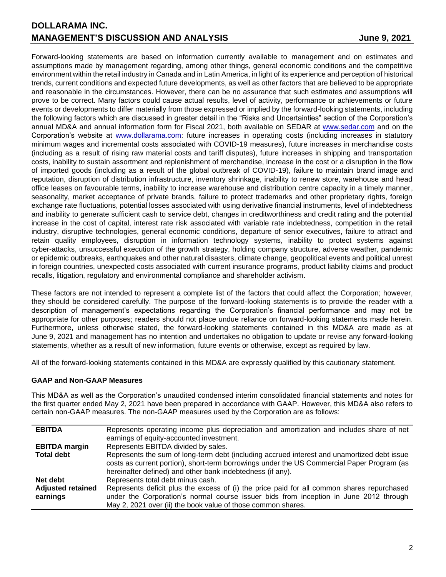Forward-looking statements are based on information currently available to management and on estimates and assumptions made by management regarding, among other things, general economic conditions and the competitive environment within the retail industry in Canada and in Latin America, in light of its experience and perception of historical trends, current conditions and expected future developments, as well as other factors that are believed to be appropriate and reasonable in the circumstances. However, there can be no assurance that such estimates and assumptions will prove to be correct. Many factors could cause actual results, level of activity, performance or achievements or future events or developments to differ materially from those expressed or implied by the forward-looking statements, including the following factors which are discussed in greater detail in the "Risks and Uncertainties" section of the Corporation's annual MD&A and annual information form for Fiscal 2021, both available on SEDAR at [www.sedar.com](http://www.sedar.com/) and on the Corporation's website at **[www.dollarama.com:](http://www.dollarama.com/)** future increases in operating costs (including increases in statutory minimum wages and incremental costs associated with COVID-19 measures), future increases in merchandise costs (including as a result of rising raw material costs and tariff disputes), future increases in shipping and transportation costs, inability to sustain assortment and replenishment of merchandise, increase in the cost or a disruption in the flow of imported goods (including as a result of the global outbreak of COVID-19), failure to maintain brand image and reputation, disruption of distribution infrastructure, inventory shrinkage, inability to renew store, warehouse and head office leases on favourable terms, inability to increase warehouse and distribution centre capacity in a timely manner, seasonality, market acceptance of private brands, failure to protect trademarks and other proprietary rights, foreign exchange rate fluctuations, potential losses associated with using derivative financial instruments, level of indebtedness and inability to generate sufficient cash to service debt, changes in creditworthiness and credit rating and the potential increase in the cost of capital, interest rate risk associated with variable rate indebtedness, competition in the retail industry, disruptive technologies, general economic conditions, departure of senior executives, failure to attract and retain quality employees, disruption in information technology systems, inability to protect systems against cyber-attacks, unsuccessful execution of the growth strategy, holding company structure, adverse weather, pandemic or epidemic outbreaks, earthquakes and other natural disasters, climate change, geopolitical events and political unrest in foreign countries, unexpected costs associated with current insurance programs, product liability claims and product recalls, litigation, regulatory and environmental compliance and shareholder activism.

These factors are not intended to represent a complete list of the factors that could affect the Corporation; however, they should be considered carefully. The purpose of the forward-looking statements is to provide the reader with a description of management's expectations regarding the Corporation's financial performance and may not be appropriate for other purposes; readers should not place undue reliance on forward-looking statements made herein. Furthermore, unless otherwise stated, the forward-looking statements contained in this MD&A are made as at June 9, 2021 and management has no intention and undertakes no obligation to update or revise any forward-looking statements, whether as a result of new information, future events or otherwise, except as required by law.

All of the forward-looking statements contained in this MD&A are expressly qualified by this cautionary statement.

## **GAAP and Non-GAAP Measures**

This MD&A as well as the Corporation's unaudited condensed interim consolidated financial statements and notes for the first quarter ended May 2, 2021 have been prepared in accordance with GAAP. However, this MD&A also refers to certain non-GAAP measures. The non-GAAP measures used by the Corporation are as follows:

| <b>EBITDA</b>            | Represents operating income plus depreciation and amortization and includes share of net    |
|--------------------------|---------------------------------------------------------------------------------------------|
|                          | earnings of equity-accounted investment.                                                    |
| <b>EBITDA</b> margin     | Represents EBITDA divided by sales.                                                         |
| <b>Total debt</b>        | Represents the sum of long-term debt (including accrued interest and unamortized debt issue |
|                          | costs as current portion), short-term borrowings under the US Commercial Paper Program (as  |
|                          | hereinafter defined) and other bank indebtedness (if any).                                  |
| Net debt                 | Represents total debt minus cash.                                                           |
| <b>Adjusted retained</b> | Represents deficit plus the excess of (i) the price paid for all common shares repurchased  |
| earnings                 | under the Corporation's normal course issuer bids from inception in June 2012 through       |
|                          | May 2, 2021 over (ii) the book value of those common shares.                                |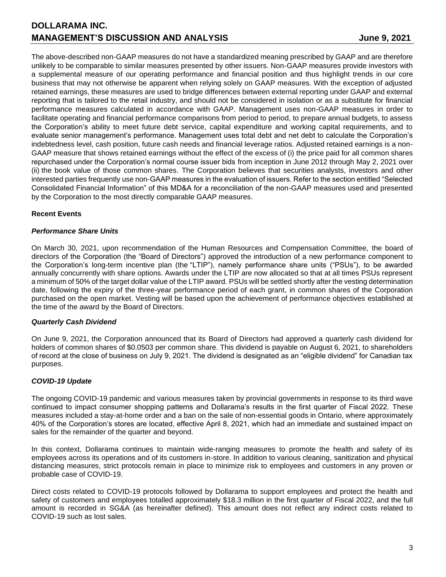The above-described non-GAAP measures do not have a standardized meaning prescribed by GAAP and are therefore unlikely to be comparable to similar measures presented by other issuers. Non-GAAP measures provide investors with a supplemental measure of our operating performance and financial position and thus highlight trends in our core business that may not otherwise be apparent when relying solely on GAAP measures. With the exception of adjusted retained earnings, these measures are used to bridge differences between external reporting under GAAP and external reporting that is tailored to the retail industry, and should not be considered in isolation or as a substitute for financial performance measures calculated in accordance with GAAP. Management uses non-GAAP measures in order to facilitate operating and financial performance comparisons from period to period, to prepare annual budgets, to assess the Corporation's ability to meet future debt service, capital expenditure and working capital requirements, and to evaluate senior management's performance. Management uses total debt and net debt to calculate the Corporation's indebtedness level, cash position, future cash needs and financial leverage ratios. Adjusted retained earnings is a non-GAAP measure that shows retained earnings without the effect of the excess of (i) the price paid for all common shares repurchased under the Corporation's normal course issuer bids from inception in June 2012 through May 2, 2021 over (ii) the book value of those common shares. The Corporation believes that securities analysts, investors and other interested parties frequently use non-GAAP measures in the evaluation of issuers. Refer to the section entitled "Selected Consolidated Financial Information" of this MD&A for a reconciliation of the non-GAAP measures used and presented by the Corporation to the most directly comparable GAAP measures.

## **Recent Events**

## *Performance Share Units*

On March 30, 2021, upon recommendation of the Human Resources and Compensation Committee, the board of directors of the Corporation (the "Board of Directors") approved the introduction of a new performance component to the Corporation's long-term incentive plan (the "LTIP"), namely performance share units ("PSUs"), to be awarded annually concurrently with share options. Awards under the LTIP are now allocated so that at all times PSUs represent a minimum of 50% of the target dollar value of the LTIP award. PSUs will be settled shortly after the vesting determination date, following the expiry of the three-year performance period of each grant, in common shares of the Corporation purchased on the open market. Vesting will be based upon the achievement of performance objectives established at the time of the award by the Board of Directors.

## *Quarterly Cash Dividend*

On June 9, 2021, the Corporation announced that its Board of Directors had approved a quarterly cash dividend for holders of common shares of \$0.0503 per common share. This dividend is payable on August 6, 2021, to shareholders of record at the close of business on July 9, 2021. The dividend is designated as an "eligible dividend" for Canadian tax purposes.

## *COVID-19 Update*

The ongoing COVID-19 pandemic and various measures taken by provincial governments in response to its third wave continued to impact consumer shopping patterns and Dollarama's results in the first quarter of Fiscal 2022. These measures included a stay-at-home order and a ban on the sale of non-essential goods in Ontario, where approximately 40% of the Corporation's stores are located, effective April 8, 2021, which had an immediate and sustained impact on sales for the remainder of the quarter and beyond.

In this context, Dollarama continues to maintain wide-ranging measures to promote the health and safety of its employees across its operations and of its customers in-store. In addition to various cleaning, sanitization and physical distancing measures, strict protocols remain in place to minimize risk to employees and customers in any proven or probable case of COVID-19.

Direct costs related to COVID-19 protocols followed by Dollarama to support employees and protect the health and safety of customers and employees totalled approximately \$18.3 million in the first quarter of Fiscal 2022, and the full amount is recorded in SG&A (as hereinafter defined). This amount does not reflect any indirect costs related to COVID-19 such as lost sales.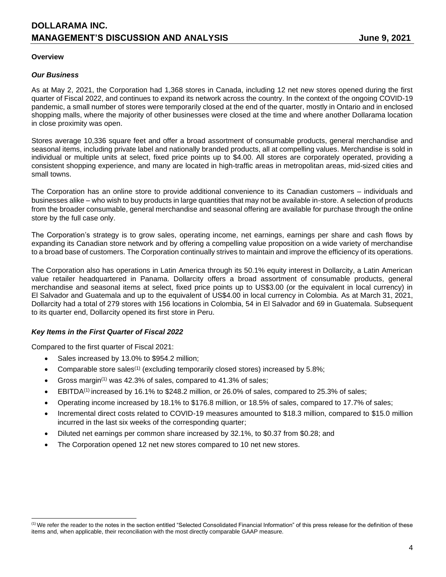### **Overview**

### *Our Business*

As at May 2, 2021, the Corporation had 1,368 stores in Canada, including 12 net new stores opened during the first quarter of Fiscal 2022, and continues to expand its network across the country. In the context of the ongoing COVID-19 pandemic, a small number of stores were temporarily closed at the end of the quarter, mostly in Ontario and in enclosed shopping malls, where the majority of other businesses were closed at the time and where another Dollarama location in close proximity was open.

Stores average 10,336 square feet and offer a broad assortment of consumable products, general merchandise and seasonal items, including private label and nationally branded products, all at compelling values. Merchandise is sold in individual or multiple units at select, fixed price points up to \$4.00. All stores are corporately operated, providing a consistent shopping experience, and many are located in high-traffic areas in metropolitan areas, mid-sized cities and small towns.

The Corporation has an online store to provide additional convenience to its Canadian customers – individuals and businesses alike – who wish to buy products in large quantities that may not be available in-store. A selection of products from the broader consumable, general merchandise and seasonal offering are available for purchase through the online store by the full case only.

The Corporation's strategy is to grow sales, operating income, net earnings, earnings per share and cash flows by expanding its Canadian store network and by offering a compelling value proposition on a wide variety of merchandise to a broad base of customers. The Corporation continually strives to maintain and improve the efficiency of its operations.

The Corporation also has operations in Latin America through its 50.1% equity interest in Dollarcity, a Latin American value retailer headquartered in Panama. Dollarcity offers a broad assortment of consumable products, general merchandise and seasonal items at select, fixed price points up to US\$3.00 (or the equivalent in local currency) in El Salvador and Guatemala and up to the equivalent of US\$4.00 in local currency in Colombia. As at March 31, 2021, Dollarcity had a total of 279 stores with 156 locations in Colombia, 54 in El Salvador and 69 in Guatemala. Subsequent to its quarter end, Dollarcity opened its first store in Peru.

## *Key Items in the First Quarter of Fiscal 2022*

Compared to the first quarter of Fiscal 2021:

- Sales increased by 13.0% to \$954.2 million;
- Comparable store sales<sup>(1)</sup> (excluding temporarily closed stores) increased by 5.8%;
- Gross margin<sup>(1)</sup> was 42.3% of sales, compared to 41.3% of sales;
- $\bullet$  EBITDA<sup>(1)</sup> increased by 16.1% to \$248.2 million, or 26.0% of sales, compared to 25.3% of sales;
- Operating income increased by 18.1% to \$176.8 million, or 18.5% of sales, compared to 17.7% of sales;
- Incremental direct costs related to COVID-19 measures amounted to \$18.3 million, compared to \$15.0 million incurred in the last six weeks of the corresponding quarter;
- Diluted net earnings per common share increased by 32.1%, to \$0.37 from \$0.28; and
- The Corporation opened 12 net new stores compared to 10 net new stores.

<sup>(1)</sup> We refer the reader to the notes in the section entitled "Selected Consolidated Financial Information" of this press release for the definition of these items and, when applicable, their reconciliation with the most directly comparable GAAP measure.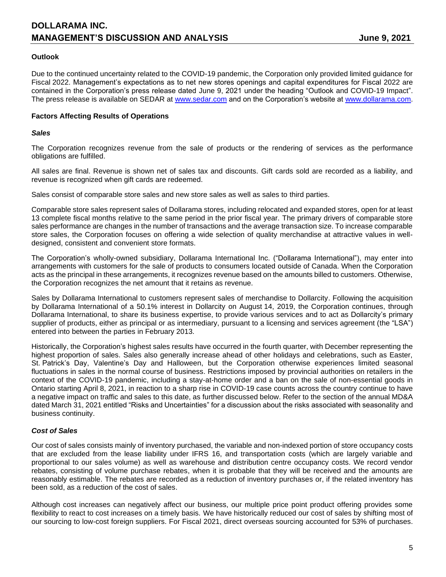## **Outlook**

Due to the continued uncertainty related to the COVID-19 pandemic, the Corporation only provided limited guidance for Fiscal 2022. Management's expectations as to net new stores openings and capital expenditures for Fiscal 2022 are contained in the Corporation's press release dated June 9, 2021 under the heading "Outlook and COVID-19 Impact". The press release is available on SEDAR at [www.sedar.com](http://www.sedar.com/) and on the Corporation's website at [www.dollarama.com.](http://www.dollarama.com/)

### **Factors Affecting Results of Operations**

### *Sales*

The Corporation recognizes revenue from the sale of products or the rendering of services as the performance obligations are fulfilled.

All sales are final. Revenue is shown net of sales tax and discounts. Gift cards sold are recorded as a liability, and revenue is recognized when gift cards are redeemed.

Sales consist of comparable store sales and new store sales as well as sales to third parties.

Comparable store sales represent sales of Dollarama stores, including relocated and expanded stores, open for at least 13 complete fiscal months relative to the same period in the prior fiscal year. The primary drivers of comparable store sales performance are changes in the number of transactions and the average transaction size. To increase comparable store sales, the Corporation focuses on offering a wide selection of quality merchandise at attractive values in welldesigned, consistent and convenient store formats.

The Corporation's wholly-owned subsidiary, Dollarama International Inc. ("Dollarama International"), may enter into arrangements with customers for the sale of products to consumers located outside of Canada. When the Corporation acts as the principal in these arrangements, it recognizes revenue based on the amounts billed to customers. Otherwise, the Corporation recognizes the net amount that it retains as revenue.

Sales by Dollarama International to customers represent sales of merchandise to Dollarcity. Following the acquisition by Dollarama International of a 50.1% interest in Dollarcity on August 14, 2019, the Corporation continues, through Dollarama International, to share its business expertise, to provide various services and to act as Dollarcity's primary supplier of products, either as principal or as intermediary, pursuant to a licensing and services agreement (the "LSA") entered into between the parties in February 2013.

Historically, the Corporation's highest sales results have occurred in the fourth quarter, with December representing the highest proportion of sales. Sales also generally increase ahead of other holidays and celebrations, such as Easter, St. Patrick's Day, Valentine's Day and Halloween, but the Corporation otherwise experiences limited seasonal fluctuations in sales in the normal course of business. Restrictions imposed by provincial authorities on retailers in the context of the COVID-19 pandemic, including a stay-at-home order and a ban on the sale of non-essential goods in Ontario starting April 8, 2021, in reaction to a sharp rise in COVID-19 case counts across the country continue to have a negative impact on traffic and sales to this date, as further discussed below. Refer to the section of the annual MD&A dated March 31, 2021 entitled "Risks and Uncertainties" for a discussion about the risks associated with seasonality and business continuity.

## *Cost of Sales*

Our cost of sales consists mainly of inventory purchased, the variable and non-indexed portion of store occupancy costs that are excluded from the lease liability under IFRS 16, and transportation costs (which are largely variable and proportional to our sales volume) as well as warehouse and distribution centre occupancy costs. We record vendor rebates, consisting of volume purchase rebates, when it is probable that they will be received and the amounts are reasonably estimable. The rebates are recorded as a reduction of inventory purchases or, if the related inventory has been sold, as a reduction of the cost of sales.

Although cost increases can negatively affect our business, our multiple price point product offering provides some flexibility to react to cost increases on a timely basis. We have historically reduced our cost of sales by shifting most of our sourcing to low-cost foreign suppliers. For Fiscal 2021, direct overseas sourcing accounted for 53% of purchases.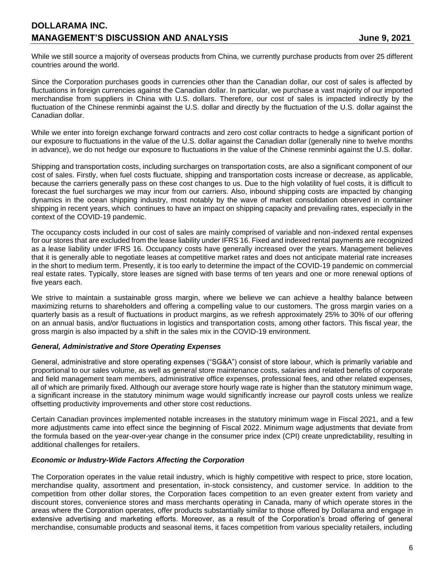While we still source a majority of overseas products from China, we currently purchase products from over 25 different countries around the world.

Since the Corporation purchases goods in currencies other than the Canadian dollar, our cost of sales is affected by fluctuations in foreign currencies against the Canadian dollar. In particular, we purchase a vast majority of our imported merchandise from suppliers in China with U.S. dollars. Therefore, our cost of sales is impacted indirectly by the fluctuation of the Chinese renminbi against the U.S. dollar and directly by the fluctuation of the U.S. dollar against the Canadian dollar.

While we enter into foreign exchange forward contracts and zero cost collar contracts to hedge a significant portion of our exposure to fluctuations in the value of the U.S. dollar against the Canadian dollar (generally nine to twelve months in advance), we do not hedge our exposure to fluctuations in the value of the Chinese renminbi against the U.S. dollar.

Shipping and transportation costs, including surcharges on transportation costs, are also a significant component of our cost of sales. Firstly, when fuel costs fluctuate, shipping and transportation costs increase or decrease, as applicable, because the carriers generally pass on these cost changes to us. Due to the high volatility of fuel costs, it is difficult to forecast the fuel surcharges we may incur from our carriers. Also, inbound shipping costs are impacted by changing dynamics in the ocean shipping industry, most notably by the wave of market consolidation observed in container shipping in recent years, which continues to have an impact on shipping capacity and prevailing rates, especially in the context of the COVID-19 pandemic.

The occupancy costs included in our cost of sales are mainly comprised of variable and non-indexed rental expenses for our stores that are excluded from the lease liability under IFRS 16. Fixed and indexed rental payments are recognized as a lease liability under IFRS 16. Occupancy costs have generally increased over the years. Management believes that it is generally able to negotiate leases at competitive market rates and does not anticipate material rate increases in the short to medium term. Presently, it is too early to determine the impact of the COVID-19 pandemic on commercial real estate rates. Typically, store leases are signed with base terms of ten years and one or more renewal options of five years each.

We strive to maintain a sustainable gross margin, where we believe we can achieve a healthy balance between maximizing returns to shareholders and offering a compelling value to our customers. The gross margin varies on a quarterly basis as a result of fluctuations in product margins, as we refresh approximately 25% to 30% of our offering on an annual basis, and/or fluctuations in logistics and transportation costs, among other factors. This fiscal year, the gross margin is also impacted by a shift in the sales mix in the COVID-19 environment.

## *General, Administrative and Store Operating Expenses*

General, administrative and store operating expenses ("SG&A") consist of store labour, which is primarily variable and proportional to our sales volume, as well as general store maintenance costs, salaries and related benefits of corporate and field management team members, administrative office expenses, professional fees, and other related expenses, all of which are primarily fixed. Although our average store hourly wage rate is higher than the statutory minimum wage, a significant increase in the statutory minimum wage would significantly increase our payroll costs unless we realize offsetting productivity improvements and other store cost reductions.

Certain Canadian provinces implemented notable increases in the statutory minimum wage in Fiscal 2021, and a few more adjustments came into effect since the beginning of Fiscal 2022. Minimum wage adjustments that deviate from the formula based on the year-over-year change in the consumer price index (CPI) create unpredictability, resulting in additional challenges for retailers.

### *Economic or Industry-Wide Factors Affecting the Corporation*

The Corporation operates in the value retail industry, which is highly competitive with respect to price, store location, merchandise quality, assortment and presentation, in-stock consistency, and customer service. In addition to the competition from other dollar stores, the Corporation faces competition to an even greater extent from variety and discount stores, convenience stores and mass merchants operating in Canada, many of which operate stores in the areas where the Corporation operates, offer products substantially similar to those offered by Dollarama and engage in extensive advertising and marketing efforts. Moreover, as a result of the Corporation's broad offering of general merchandise, consumable products and seasonal items, it faces competition from various speciality retailers, including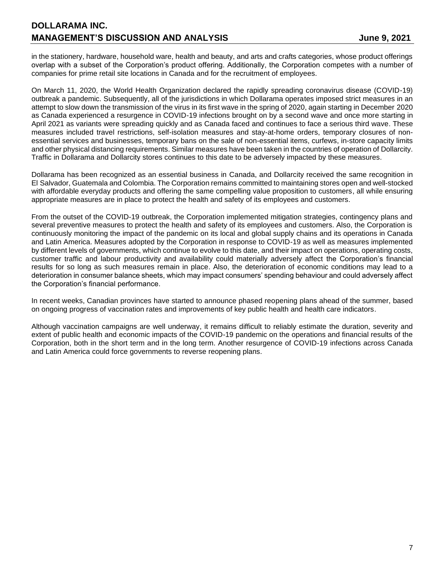# **DOLLARAMA INC. MANAGEMENT'S DISCUSSION AND ANALYSIS FOR ALL AND ANALYSIS FOR A SUMPLE 1998**

in the stationery, hardware, household ware, health and beauty, and arts and crafts categories, whose product offerings overlap with a subset of the Corporation's product offering. Additionally, the Corporation competes with a number of companies for prime retail site locations in Canada and for the recruitment of employees.

On March 11, 2020, the World Health Organization declared the rapidly spreading coronavirus disease (COVID-19) outbreak a pandemic. Subsequently, all of the jurisdictions in which Dollarama operates imposed strict measures in an attempt to slow down the transmission of the virus in its first wave in the spring of 2020, again starting in December 2020 as Canada experienced a resurgence in COVID-19 infections brought on by a second wave and once more starting in April 2021 as variants were spreading quickly and as Canada faced and continues to face a serious third wave. These measures included travel restrictions, self-isolation measures and stay-at-home orders, temporary closures of nonessential services and businesses, temporary bans on the sale of non-essential items, curfews, in-store capacity limits and other physical distancing requirements. Similar measures have been taken in the countries of operation of Dollarcity. Traffic in Dollarama and Dollarcity stores continues to this date to be adversely impacted by these measures.

Dollarama has been recognized as an essential business in Canada, and Dollarcity received the same recognition in El Salvador, Guatemala and Colombia. The Corporation remains committed to maintaining stores open and well-stocked with affordable everyday products and offering the same compelling value proposition to customers, all while ensuring appropriate measures are in place to protect the health and safety of its employees and customers.

From the outset of the COVID-19 outbreak, the Corporation implemented mitigation strategies, contingency plans and several preventive measures to protect the health and safety of its employees and customers. Also, the Corporation is continuously monitoring the impact of the pandemic on its local and global supply chains and its operations in Canada and Latin America. Measures adopted by the Corporation in response to COVID-19 as well as measures implemented by different levels of governments, which continue to evolve to this date, and their impact on operations, operating costs, customer traffic and labour productivity and availability could materially adversely affect the Corporation's financial results for so long as such measures remain in place. Also, the deterioration of economic conditions may lead to a deterioration in consumer balance sheets, which may impact consumers' spending behaviour and could adversely affect the Corporation's financial performance.

In recent weeks, Canadian provinces have started to announce phased reopening plans ahead of the summer, based on ongoing progress of vaccination rates and improvements of key public health and health care indicators.

Although vaccination campaigns are well underway, it remains difficult to reliably estimate the duration, severity and extent of public health and economic impacts of the COVID-19 pandemic on the operations and financial results of the Corporation, both in the short term and in the long term. Another resurgence of COVID-19 infections across Canada and Latin America could force governments to reverse reopening plans.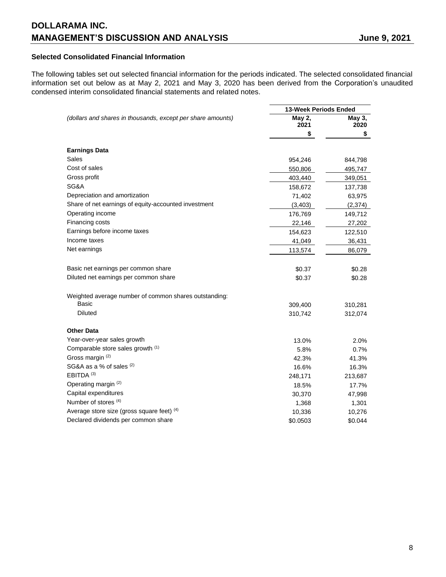## **Selected Consolidated Financial Information**

The following tables set out selected financial information for the periods indicated. The selected consolidated financial information set out below as at May 2, 2021 and May 3, 2020 has been derived from the Corporation's unaudited condensed interim consolidated financial statements and related notes.

|                                                             | <b>13-Week Periods Ended</b> |                |
|-------------------------------------------------------------|------------------------------|----------------|
| (dollars and shares in thousands, except per share amounts) | May 2,<br>2021               | May 3,<br>2020 |
|                                                             | S.                           | \$             |
| <b>Earnings Data</b>                                        |                              |                |
| Sales                                                       | 954,246                      | 844,798        |
| Cost of sales                                               | 550,806                      | 495,747        |
| Gross profit                                                | 403,440                      | 349,051        |
| SG&A                                                        | 158,672                      | 137,738        |
| Depreciation and amortization                               | 71,402                       | 63,975         |
| Share of net earnings of equity-accounted investment        | (3, 403)                     | (2,374)        |
| Operating income                                            | 176,769                      | 149,712        |
| Financing costs                                             | 22,146                       | 27,202         |
| Earnings before income taxes                                | 154,623                      | 122,510        |
| Income taxes                                                | 41,049                       | 36,431         |
| Net earnings                                                | 113,574                      | 86,079         |
| Basic net earnings per common share                         | \$0.37                       | \$0.28         |
| Diluted net earnings per common share                       | \$0.37                       | \$0.28         |
| Weighted average number of common shares outstanding:       |                              |                |
| Basic                                                       | 309,400                      | 310,281        |
| <b>Diluted</b>                                              | 310,742                      | 312,074        |
| <b>Other Data</b>                                           |                              |                |
| Year-over-year sales growth                                 | 13.0%                        | 2.0%           |
| Comparable store sales growth (1)                           | 5.8%                         | 0.7%           |
| Gross margin (2)                                            | 42.3%                        | 41.3%          |
| SG&A as a % of sales (2)                                    | 16.6%                        | 16.3%          |
| EBITDA <sup>(3)</sup>                                       | 248,171                      | 213,687        |
| Operating margin (2)                                        | 18.5%                        | 17.7%          |
| Capital expenditures                                        | 30,370                       | 47,998         |
| Number of stores (4)                                        | 1,368                        | 1,301          |
| Average store size (gross square feet) (4)                  | 10,336                       | 10,276         |
| Declared dividends per common share                         | \$0.0503                     | \$0.044        |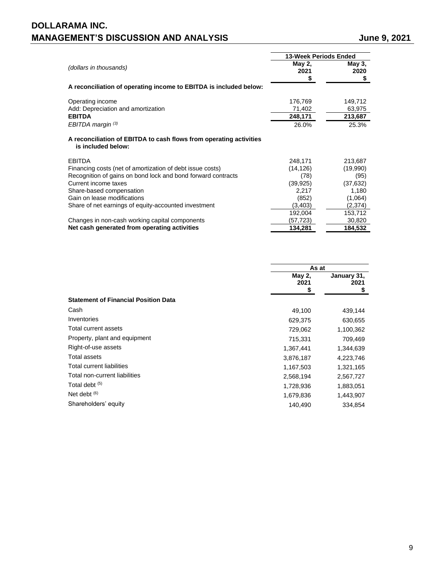# **DOLLARAMA INC. MANAGEMENT'S DISCUSSION AND ANALYSIS** June 9, 2021

|                                                                                          | <b>13-Week Periods Ended</b> |                      |
|------------------------------------------------------------------------------------------|------------------------------|----------------------|
| (dollars in thousands)                                                                   | May 2,<br>2021<br>S          | May 3,<br>2020<br>\$ |
| A reconciliation of operating income to EBITDA is included below:                        |                              |                      |
| Operating income                                                                         | 176,769                      | 149,712              |
| Add: Depreciation and amortization                                                       | 71,402                       | 63,975               |
| <b>EBITDA</b>                                                                            | 248,171                      | 213,687              |
| EBITDA margin <sup>(3)</sup>                                                             | 26.0%                        | 25.3%                |
| A reconciliation of EBITDA to cash flows from operating activities<br>is included below: |                              |                      |
| <b>EBITDA</b>                                                                            | 248,171                      | 213,687              |
| Financing costs (net of amortization of debt issue costs)                                | (14, 126)                    | (19,990)             |
| Recognition of gains on bond lock and bond forward contracts                             | (78)                         | (95)                 |
| Current income taxes                                                                     | (39, 925)                    | (37, 632)            |
| Share-based compensation                                                                 | 2,217                        | 1,180                |
| Gain on lease modifications                                                              | (852)                        | (1,064)              |
| Share of net earnings of equity-accounted investment                                     | (3,403)                      | (2,374)              |
|                                                                                          | 192,004                      | 153,712              |
| Changes in non-cash working capital components                                           | (57,723)                     | 30,820               |
| Net cash generated from operating activities                                             | 134,281                      | 184,532              |

|                                             | As at                |                          |  |
|---------------------------------------------|----------------------|--------------------------|--|
|                                             | May 2,<br>2021<br>\$ | January 31,<br>2021<br>S |  |
| <b>Statement of Financial Position Data</b> |                      |                          |  |
| Cash                                        | 49,100               | 439,144                  |  |
| Inventories                                 | 629,375              | 630,655                  |  |
| Total current assets                        | 729,062              | 1,100,362                |  |
| Property, plant and equipment               | 715,331              | 709,469                  |  |
| Right-of-use assets                         | 1,367,441            | 1,344,639                |  |
| Total assets                                | 3,876,187            | 4,223,746                |  |
| Total current liabilities                   | 1,167,503            | 1,321,165                |  |
| Total non-current liabilities               | 2,568,194            | 2,567,727                |  |
| Total debt <sup>(5)</sup>                   | 1,728,936            | 1,883,051                |  |
| Net debt $(6)$                              | 1,679,836            | 1,443,907                |  |
| Shareholders' equity                        | 140,490              | 334.854                  |  |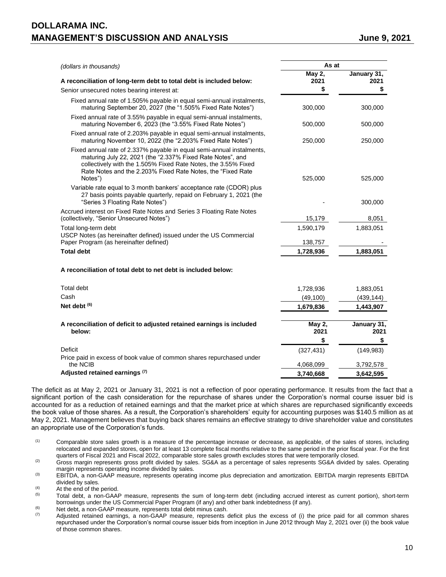# **DOLLARAMA INC. MANAGEMENT'S DISCUSSION AND ANALYSIS FOR ALL AND ANALYSIS FOR A SUMPLE 1998**

| (dollars in thousands)                                                                                                                                                                                                                                                           | As at          |                     |
|----------------------------------------------------------------------------------------------------------------------------------------------------------------------------------------------------------------------------------------------------------------------------------|----------------|---------------------|
| A reconciliation of long-term debt to total debt is included below:                                                                                                                                                                                                              | May 2,<br>2021 | January 31,<br>2021 |
| Senior unsecured notes bearing interest at:                                                                                                                                                                                                                                      | \$             | \$                  |
|                                                                                                                                                                                                                                                                                  |                |                     |
| Fixed annual rate of 1.505% payable in equal semi-annual instalments,<br>maturing September 20, 2027 (the "1.505% Fixed Rate Notes")                                                                                                                                             | 300,000        | 300,000             |
| Fixed annual rate of 3.55% payable in equal semi-annual instalments,<br>maturing November 6, 2023 (the "3.55% Fixed Rate Notes")                                                                                                                                                 | 500,000        | 500,000             |
| Fixed annual rate of 2.203% payable in equal semi-annual instalments,<br>maturing November 10, 2022 (the "2.203% Fixed Rate Notes")                                                                                                                                              | 250,000        | 250,000             |
| Fixed annual rate of 2.337% payable in equal semi-annual instalments,<br>maturing July 22, 2021 (the "2.337% Fixed Rate Notes", and<br>collectively with the 1.505% Fixed Rate Notes, the 3.55% Fixed<br>Rate Notes and the 2.203% Fixed Rate Notes, the "Fixed Rate"<br>Notes") | 525,000        | 525,000             |
| Variable rate equal to 3 month bankers' acceptance rate (CDOR) plus<br>27 basis points payable quarterly, repaid on February 1, 2021 (the<br>"Series 3 Floating Rate Notes")                                                                                                     |                | 300,000             |
| Accrued interest on Fixed Rate Notes and Series 3 Floating Rate Notes<br>(collectively, "Senior Unsecured Notes")                                                                                                                                                                | 15,179         | 8,051               |
| Total long-term debt<br>USCP Notes (as hereinafter defined) issued under the US Commercial                                                                                                                                                                                       | 1,590,179      | 1,883,051           |
| Paper Program (as hereinafter defined)                                                                                                                                                                                                                                           | 138,757        |                     |
| <b>Total debt</b>                                                                                                                                                                                                                                                                | 1,728,936      | 1,883,051           |
| A reconciliation of total debt to net debt is included below:                                                                                                                                                                                                                    |                |                     |
| <b>Total debt</b>                                                                                                                                                                                                                                                                | 1,728,936      | 1,883,051           |
| Cash                                                                                                                                                                                                                                                                             | (49, 100)      | (439, 144)          |
| Net debt $(6)$                                                                                                                                                                                                                                                                   | 1,679,836      | 1,443,907           |
|                                                                                                                                                                                                                                                                                  |                |                     |
| A reconciliation of deficit to adjusted retained earnings is included<br>below:                                                                                                                                                                                                  | May 2,<br>2021 | January 31,<br>2021 |
|                                                                                                                                                                                                                                                                                  | \$             | \$                  |
| <b>Deficit</b>                                                                                                                                                                                                                                                                   | (327, 431)     | (149, 983)          |
| Price paid in excess of book value of common shares repurchased under<br>the NCIB                                                                                                                                                                                                | 4,068,099      | 3,792,578           |

**Adjusted retained earnings (7) 3,740,668 3,642,595**

The deficit as at May 2, 2021 or January 31, 2021 is not a reflection of poor operating performance. It results from the fact that a significant portion of the cash consideration for the repurchase of shares under the Corporation's normal course issuer bid is accounted for as a reduction of retained earnings and that the market price at which shares are repurchased significantly exceeds the book value of those shares. As a result, the Corporation's shareholders' equity for accounting purposes was \$140.5 million as at May 2, 2021. Management believes that buying back shares remains an effective strategy to drive shareholder value and constitutes an appropriate use of the Corporation's funds.

(1) Comparable store sales growth is a measure of the percentage increase or decrease, as applicable, of the sales of stores, including relocated and expanded stores, open for at least 13 complete fiscal months relative to the same period in the prior fiscal year. For the first quarters of Fiscal 2021 and Fiscal 2022, comparable store sales growth excludes stores that were temporarily closed.

<sup>(2)</sup> Gross margin represents gross profit divided by sales. SG&A as a percentage of sales represents SG&A divided by sales. Operating margin represents operating income divided by sales.

(3) EBITDA, a non-GAAP measure, represents operating income plus depreciation and amortization. EBITDA margin represents EBITDA divided by sales.

 $(4)$  At the end of the period.<br>  $(5)$  Total debt a pop-GAAI

Total debt, a non-GAAP measure, represents the sum of long-term debt (including accrued interest as current portion), short-term borrowings under the US Commercial Paper Program (if any) and other bank indebtedness (if any).

(6) Net debt, a non-GAAP measure, represents total debt minus cash.<br> $\frac{1}{2}$ 

Adjusted retained earnings, a non-GAAP measure, represents deficit plus the excess of (i) the price paid for all common shares repurchased under the Corporation's normal course issuer bids from inception in June 2012 through May 2, 2021 over (ii) the book value of those common shares.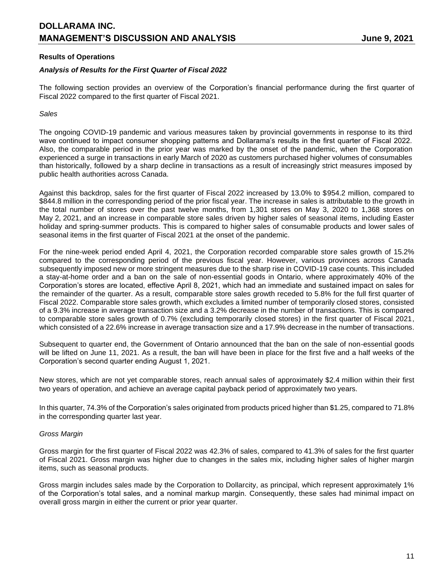### **Results of Operations**

### *Analysis of Results for the First Quarter of Fiscal 2022*

The following section provides an overview of the Corporation's financial performance during the first quarter of Fiscal 2022 compared to the first quarter of Fiscal 2021.

### *Sales*

The ongoing COVID-19 pandemic and various measures taken by provincial governments in response to its third wave continued to impact consumer shopping patterns and Dollarama's results in the first quarter of Fiscal 2022. Also, the comparable period in the prior year was marked by the onset of the pandemic, when the Corporation experienced a surge in transactions in early March of 2020 as customers purchased higher volumes of consumables than historically, followed by a sharp decline in transactions as a result of increasingly strict measures imposed by public health authorities across Canada.

Against this backdrop, sales for the first quarter of Fiscal 2022 increased by 13.0% to \$954.2 million, compared to \$844.8 million in the corresponding period of the prior fiscal year. The increase in sales is attributable to the growth in the total number of stores over the past twelve months, from 1,301 stores on May 3, 2020 to 1,368 stores on May 2, 2021, and an increase in comparable store sales driven by higher sales of seasonal items, including Easter holiday and spring-summer products. This is compared to higher sales of consumable products and lower sales of seasonal items in the first quarter of Fiscal 2021 at the onset of the pandemic.

For the nine-week period ended April 4, 2021, the Corporation recorded comparable store sales growth of 15.2% compared to the corresponding period of the previous fiscal year. However, various provinces across Canada subsequently imposed new or more stringent measures due to the sharp rise in COVID-19 case counts. This included a stay-at-home order and a ban on the sale of non-essential goods in Ontario, where approximately 40% of the Corporation's stores are located, effective April 8, 2021, which had an immediate and sustained impact on sales for the remainder of the quarter. As a result, comparable store sales growth receded to 5.8% for the full first quarter of Fiscal 2022. Comparable store sales growth, which excludes a limited number of temporarily closed stores, consisted of a 9.3% increase in average transaction size and a 3.2% decrease in the number of transactions. This is compared to comparable store sales growth of 0.7% (excluding temporarily closed stores) in the first quarter of Fiscal 2021, which consisted of a 22.6% increase in average transaction size and a 17.9% decrease in the number of transactions.

Subsequent to quarter end, the Government of Ontario announced that the ban on the sale of non-essential goods will be lifted on June 11, 2021. As a result, the ban will have been in place for the first five and a half weeks of the Corporation's second quarter ending August 1, 2021.

New stores, which are not yet comparable stores, reach annual sales of approximately \$2.4 million within their first two years of operation, and achieve an average capital payback period of approximately two years.

In this quarter, 74.3% of the Corporation's sales originated from products priced higher than \$1.25, compared to 71.8% in the corresponding quarter last year.

### *Gross Margin*

Gross margin for the first quarter of Fiscal 2022 was 42.3% of sales, compared to 41.3% of sales for the first quarter of Fiscal 2021. Gross margin was higher due to changes in the sales mix, including higher sales of higher margin items, such as seasonal products.

Gross margin includes sales made by the Corporation to Dollarcity, as principal, which represent approximately 1% of the Corporation's total sales, and a nominal markup margin. Consequently, these sales had minimal impact on overall gross margin in either the current or prior year quarter.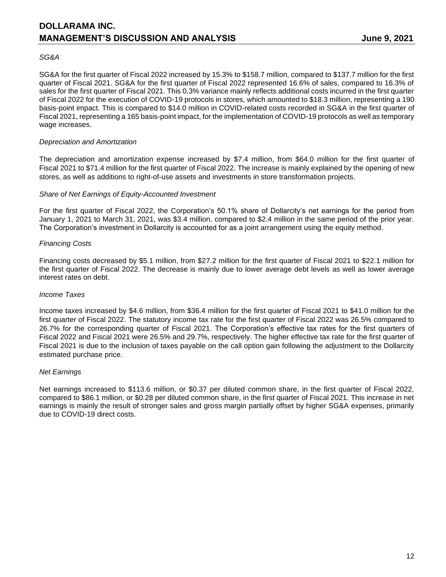### *SG&A*

SG&A for the first quarter of Fiscal 2022 increased by 15.3% to \$158.7 million, compared to \$137.7 million for the first quarter of Fiscal 2021. SG&A for the first quarter of Fiscal 2022 represented 16.6% of sales, compared to 16.3% of sales for the first quarter of Fiscal 2021. This 0.3% variance mainly reflects additional costs incurred in the first quarter of Fiscal 2022 for the execution of COVID-19 protocols in stores, which amounted to \$18.3 million, representing a 190 basis-point impact. This is compared to \$14.0 million in COVID-related costs recorded in SG&A in the first quarter of Fiscal 2021, representing a 165 basis-point impact, for the implementation of COVID-19 protocols as well as temporary wage increases.

### *Depreciation and Amortization*

The depreciation and amortization expense increased by \$7.4 million, from \$64.0 million for the first quarter of Fiscal 2021 to \$71.4 million for the first quarter of Fiscal 2022. The increase is mainly explained by the opening of new stores, as well as additions to right-of-use assets and investments in store transformation projects.

### *Share of Net Earnings of Equity-Accounted Investment*

For the first quarter of Fiscal 2022, the Corporation's 50.1% share of Dollarcity's net earnings for the period from January 1, 2021 to March 31, 2021, was \$3.4 million, compared to \$2.4 million in the same period of the prior year. The Corporation's investment in Dollarcity is accounted for as a joint arrangement using the equity method.

### *Financing Costs*

Financing costs decreased by \$5.1 million, from \$27.2 million for the first quarter of Fiscal 2021 to \$22.1 million for the first quarter of Fiscal 2022. The decrease is mainly due to lower average debt levels as well as lower average interest rates on debt.

### *Income Taxes*

Income taxes increased by \$4.6 million, from \$36.4 million for the first quarter of Fiscal 2021 to \$41.0 million for the first quarter of Fiscal 2022. The statutory income tax rate for the first quarter of Fiscal 2022 was 26.5% compared to 26.7% for the corresponding quarter of Fiscal 2021. The Corporation's effective tax rates for the first quarters of Fiscal 2022 and Fiscal 2021 were 26.5% and 29.7%, respectively. The higher effective tax rate for the first quarter of Fiscal 2021 is due to the inclusion of taxes payable on the call option gain following the adjustment to the Dollarcity estimated purchase price.

## *Net Earnings*

Net earnings increased to \$113.6 million, or \$0.37 per diluted common share, in the first quarter of Fiscal 2022, compared to \$86.1 million, or \$0.28 per diluted common share, in the first quarter of Fiscal 2021. This increase in net earnings is mainly the result of stronger sales and gross margin partially offset by higher SG&A expenses, primarily due to COVID-19 direct costs.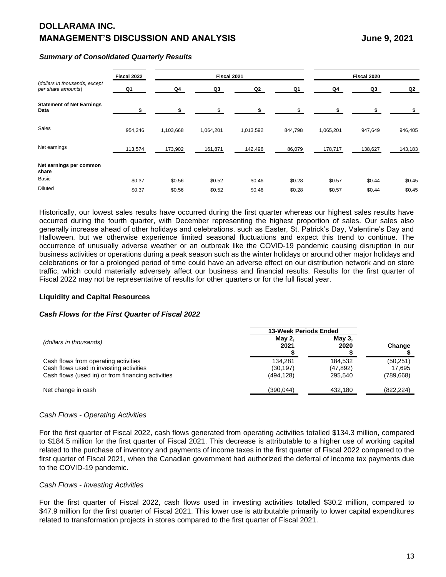### *Summary of Consolidated Quarterly Results*

|                                                     | Fiscal 2022 |           | Fiscal 2021 |           |         |           | Fiscal 2020 |         |
|-----------------------------------------------------|-------------|-----------|-------------|-----------|---------|-----------|-------------|---------|
| (dollars in thousands, except<br>per share amounts) | Q1          | Q4        | Q3          | Q2        | Q1      | Q4        | Q3          | Q2      |
| <b>Statement of Net Earnings</b><br>Data            |             |           | ¢           |           |         |           |             |         |
| Sales                                               | 954,246     | 1,103,668 | 1,064,201   | 1,013,592 | 844,798 | 1,065,201 | 947,649     | 946,405 |
| Net earnings                                        | 113,574     | 173,902   | 161,871     | 142,496   | 86,079  | 178,717   | 138,627     | 143,183 |
| Net earnings per common<br>share                    |             |           |             |           |         |           |             |         |
| Basic                                               | \$0.37      | \$0.56    | \$0.52      | \$0.46    | \$0.28  | \$0.57    | \$0.44      | \$0.45  |
| <b>Diluted</b>                                      | \$0.37      | \$0.56    | \$0.52      | \$0.46    | \$0.28  | \$0.57    | \$0.44      | \$0.45  |

Historically, our lowest sales results have occurred during the first quarter whereas our highest sales results have occurred during the fourth quarter, with December representing the highest proportion of sales. Our sales also generally increase ahead of other holidays and celebrations, such as Easter, St. Patrick's Day, Valentine's Day and Halloween, but we otherwise experience limited seasonal fluctuations and expect this trend to continue. The occurrence of unusually adverse weather or an outbreak like the COVID-19 pandemic causing disruption in our business activities or operations during a peak season such as the winter holidays or around other major holidays and celebrations or for a prolonged period of time could have an adverse effect on our distribution network and on store traffic, which could materially adversely affect our business and financial results. Results for the first quarter of Fiscal 2022 may not be representative of results for other quarters or for the full fiscal year.

## **Liquidity and Capital Resources**

### *Cash Flows for the First Quarter of Fiscal 2022*

|                                                                                 | <b>13-Week Periods Ended</b> |                      |                     |  |
|---------------------------------------------------------------------------------|------------------------------|----------------------|---------------------|--|
| (dollars in thousands)                                                          | <b>May 2,</b><br>2021        | May $3$ ,<br>2020    | Change              |  |
| Cash flows from operating activities<br>Cash flows used in investing activities | 134.281<br>(30, 197)         | 184.532<br>(47, 892) | (50, 251)<br>17.695 |  |
| Cash flows (used in) or from financing activities                               | (494,128)                    | 295.540              | (789,668)           |  |
| Net change in cash                                                              | (390,044)                    | 432.180              | (822, 224)          |  |

## *Cash Flows - Operating Activities*

For the first quarter of Fiscal 2022, cash flows generated from operating activities totalled \$134.3 million, compared to \$184.5 million for the first quarter of Fiscal 2021. This decrease is attributable to a higher use of working capital related to the purchase of inventory and payments of income taxes in the first quarter of Fiscal 2022 compared to the first quarter of Fiscal 2021, when the Canadian government had authorized the deferral of income tax payments due to the COVID-19 pandemic.

### *Cash Flows - Investing Activities*

For the first quarter of Fiscal 2022, cash flows used in investing activities totalled \$30.2 million, compared to \$47.9 million for the first quarter of Fiscal 2021. This lower use is attributable primarily to lower capital expenditures related to transformation projects in stores compared to the first quarter of Fiscal 2021.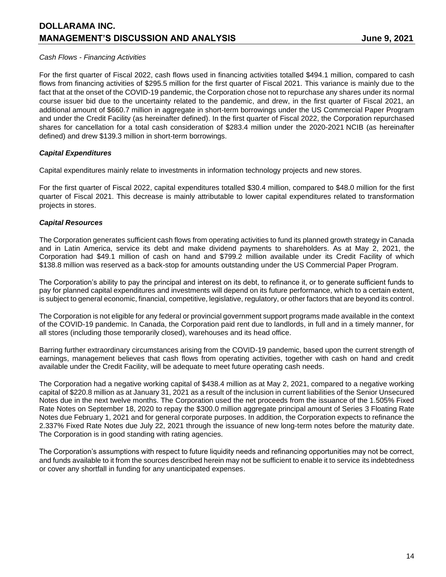## *Cash Flows - Financing Activities*

For the first quarter of Fiscal 2022, cash flows used in financing activities totalled \$494.1 million, compared to cash flows from financing activities of \$295.5 million for the first quarter of Fiscal 2021. This variance is mainly due to the fact that at the onset of the COVID-19 pandemic, the Corporation chose not to repurchase any shares under its normal course issuer bid due to the uncertainty related to the pandemic, and drew, in the first quarter of Fiscal 2021, an additional amount of \$660.7 million in aggregate in short-term borrowings under the US Commercial Paper Program and under the Credit Facility (as hereinafter defined). In the first quarter of Fiscal 2022, the Corporation repurchased shares for cancellation for a total cash consideration of \$283.4 million under the 2020-2021 NCIB (as hereinafter defined) and drew \$139.3 million in short-term borrowings.

## *Capital Expenditures*

Capital expenditures mainly relate to investments in information technology projects and new stores.

For the first quarter of Fiscal 2022, capital expenditures totalled \$30.4 million, compared to \$48.0 million for the first quarter of Fiscal 2021. This decrease is mainly attributable to lower capital expenditures related to transformation projects in stores.

### *Capital Resources*

The Corporation generates sufficient cash flows from operating activities to fund its planned growth strategy in Canada and in Latin America, service its debt and make dividend payments to shareholders. As at May 2, 2021, the Corporation had \$49.1 million of cash on hand and \$799.2 million available under its Credit Facility of which \$138.8 million was reserved as a back-stop for amounts outstanding under the US Commercial Paper Program.

The Corporation's ability to pay the principal and interest on its debt, to refinance it, or to generate sufficient funds to pay for planned capital expenditures and investments will depend on its future performance, which to a certain extent, is subject to general economic, financial, competitive, legislative, regulatory, or other factors that are beyond its control.

The Corporation is not eligible for any federal or provincial government support programs made available in the context of the COVID-19 pandemic. In Canada, the Corporation paid rent due to landlords, in full and in a timely manner, for all stores (including those temporarily closed), warehouses and its head office.

Barring further extraordinary circumstances arising from the COVID-19 pandemic, based upon the current strength of earnings, management believes that cash flows from operating activities, together with cash on hand and credit available under the Credit Facility, will be adequate to meet future operating cash needs.

The Corporation had a negative working capital of \$438.4 million as at May 2, 2021, compared to a negative working capital of \$220.8 million as at January 31, 2021 as a result of the inclusion in current liabilities of the Senior Unsecured Notes due in the next twelve months. The Corporation used the net proceeds from the issuance of the 1.505% Fixed Rate Notes on September 18, 2020 to repay the \$300.0 million aggregate principal amount of Series 3 Floating Rate Notes due February 1, 2021 and for general corporate purposes. In addition, the Corporation expects to refinance the 2.337% Fixed Rate Notes due July 22, 2021 through the issuance of new long-term notes before the maturity date. The Corporation is in good standing with rating agencies.

The Corporation's assumptions with respect to future liquidity needs and refinancing opportunities may not be correct, and funds available to it from the sources described herein may not be sufficient to enable it to service its indebtedness or cover any shortfall in funding for any unanticipated expenses.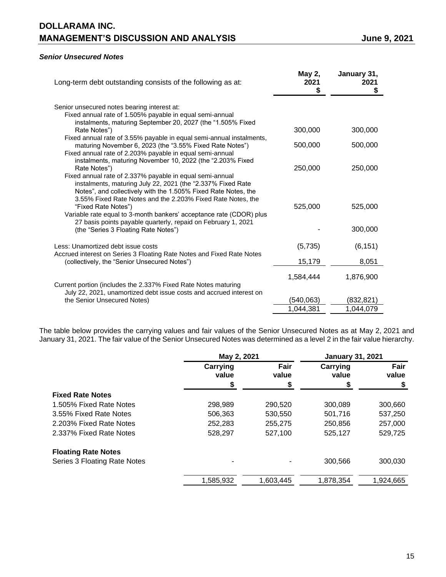# **DOLLARAMA INC. MANAGEMENT'S DISCUSSION AND ANALYSIS CONSUMING A SET AND ANALYSIS AND ANALYSIS AND ANALYSIS**

## *Senior Unsecured Notes*

| Long-term debt outstanding consists of the following as at:                                                                                                                                                                 | May 2,<br>2021<br>S | January 31,<br>2021<br>S |
|-----------------------------------------------------------------------------------------------------------------------------------------------------------------------------------------------------------------------------|---------------------|--------------------------|
| Senior unsecured notes bearing interest at:                                                                                                                                                                                 |                     |                          |
| Fixed annual rate of 1.505% payable in equal semi-annual<br>instalments, maturing September 20, 2027 (the "1.505% Fixed                                                                                                     |                     |                          |
| Rate Notes")                                                                                                                                                                                                                | 300,000             | 300,000                  |
| Fixed annual rate of 3.55% payable in equal semi-annual instalments,<br>maturing November 6, 2023 (the "3.55% Fixed Rate Notes")<br>Fixed annual rate of 2.203% payable in equal semi-annual                                | 500,000             | 500,000                  |
| instalments, maturing November 10, 2022 (the "2.203% Fixed                                                                                                                                                                  |                     |                          |
| Rate Notes")<br>Fixed annual rate of 2.337% payable in equal semi-annual<br>instalments, maturing July 22, 2021 (the "2.337% Fixed Rate                                                                                     | 250,000             | 250,000                  |
| Notes", and collectively with the 1.505% Fixed Rate Notes, the<br>3.55% Fixed Rate Notes and the 2.203% Fixed Rate Notes, the<br>"Fixed Rate Notes")<br>Variable rate equal to 3-month bankers' acceptance rate (CDOR) plus | 525,000             | 525,000                  |
| 27 basis points payable quarterly, repaid on February 1, 2021<br>(the "Series 3 Floating Rate Notes")                                                                                                                       |                     | 300,000                  |
| Less: Unamortized debt issue costs<br>Accrued interest on Series 3 Floating Rate Notes and Fixed Rate Notes                                                                                                                 | (5,735)             | (6, 151)                 |
| (collectively, the "Senior Unsecured Notes")                                                                                                                                                                                | 15,179              | 8,051                    |
| Current portion (includes the 2.337% Fixed Rate Notes maturing                                                                                                                                                              | 1,584,444           | 1,876,900                |
| July 22, 2021, unamortized debt issue costs and accrued interest on                                                                                                                                                         |                     |                          |
| the Senior Unsecured Notes)                                                                                                                                                                                                 | (540,063)           | (832,821)                |
|                                                                                                                                                                                                                             | 1,044,381           | 1.044.079                |

The table below provides the carrying values and fair values of the Senior Unsecured Notes as at May 2, 2021 and January 31, 2021. The fair value of the Senior Unsecured Notes was determined as a level 2 in the fair value hierarchy.

|                              | May 2, 2021       |               | <b>January 31, 2021</b> |               |
|------------------------------|-------------------|---------------|-------------------------|---------------|
|                              | Carrying<br>value | Fair<br>value |                         | Fair<br>value |
|                              | \$                | \$            | \$                      |               |
| <b>Fixed Rate Notes</b>      |                   |               |                         |               |
| 1.505% Fixed Rate Notes      | 298,989           | 290,520       | 300,089                 | 300,660       |
| 3.55% Fixed Rate Notes       | 506,363           | 530,550       | 501,716                 | 537,250       |
| 2.203% Fixed Rate Notes      | 252,283           | 255,275       | 250,856                 | 257,000       |
| 2.337% Fixed Rate Notes      | 528,297           | 527,100       | 525,127                 | 529.725       |
| <b>Floating Rate Notes</b>   |                   |               |                         |               |
| Series 3 Floating Rate Notes |                   |               | 300,566                 | 300,030       |
|                              | 1,585,932         | 1,603,445     | 1,878,354               | 1,924,665     |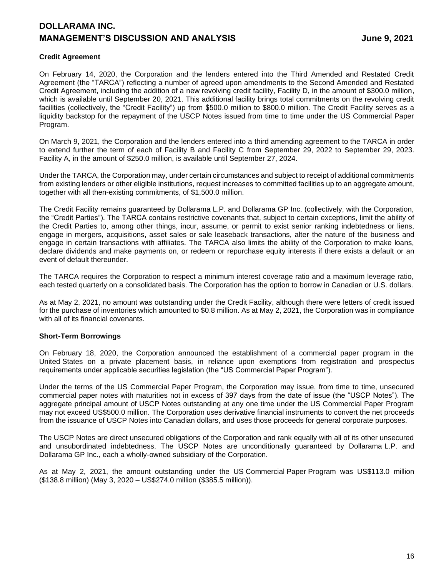## **Credit Agreement**

On February 14, 2020, the Corporation and the lenders entered into the Third Amended and Restated Credit Agreement (the "TARCA") reflecting a number of agreed upon amendments to the Second Amended and Restated Credit Agreement, including the addition of a new revolving credit facility, Facility D, in the amount of \$300.0 million, which is available until September 20, 2021. This additional facility brings total commitments on the revolving credit facilities (collectively, the "Credit Facility") up from \$500.0 million to \$800.0 million. The Credit Facility serves as a liquidity backstop for the repayment of the USCP Notes issued from time to time under the US Commercial Paper Program.

On March 9, 2021, the Corporation and the lenders entered into a third amending agreement to the TARCA in order to extend further the term of each of Facility B and Facility C from September 29, 2022 to September 29, 2023. Facility A, in the amount of \$250.0 million, is available until September 27, 2024.

Under the TARCA, the Corporation may, under certain circumstances and subject to receipt of additional commitments from existing lenders or other eligible institutions, request increases to committed facilities up to an aggregate amount, together with all then-existing commitments, of \$1,500.0 million.

The Credit Facility remains guaranteed by Dollarama L.P. and Dollarama GP Inc. (collectively, with the Corporation, the "Credit Parties"). The TARCA contains restrictive covenants that, subject to certain exceptions, limit the ability of the Credit Parties to, among other things, incur, assume, or permit to exist senior ranking indebtedness or liens, engage in mergers, acquisitions, asset sales or sale leaseback transactions, alter the nature of the business and engage in certain transactions with affiliates. The TARCA also limits the ability of the Corporation to make loans, declare dividends and make payments on, or redeem or repurchase equity interests if there exists a default or an event of default thereunder.

The TARCA requires the Corporation to respect a minimum interest coverage ratio and a maximum leverage ratio, each tested quarterly on a consolidated basis. The Corporation has the option to borrow in Canadian or U.S. dollars.

As at May 2, 2021, no amount was outstanding under the Credit Facility, although there were letters of credit issued for the purchase of inventories which amounted to \$0.8 million. As at May 2, 2021, the Corporation was in compliance with all of its financial covenants.

## **Short-Term Borrowings**

On February 18, 2020, the Corporation announced the establishment of a commercial paper program in the United States on a private placement basis, in reliance upon exemptions from registration and prospectus requirements under applicable securities legislation (the "US Commercial Paper Program").

Under the terms of the US Commercial Paper Program, the Corporation may issue, from time to time, unsecured commercial paper notes with maturities not in excess of 397 days from the date of issue (the "USCP Notes"). The aggregate principal amount of USCP Notes outstanding at any one time under the US Commercial Paper Program may not exceed US\$500.0 million. The Corporation uses derivative financial instruments to convert the net proceeds from the issuance of USCP Notes into Canadian dollars, and uses those proceeds for general corporate purposes.

The USCP Notes are direct unsecured obligations of the Corporation and rank equally with all of its other unsecured and unsubordinated indebtedness. The USCP Notes are unconditionally guaranteed by Dollarama L.P. and Dollarama GP Inc., each a wholly-owned subsidiary of the Corporation.

As at May 2, 2021, the amount outstanding under the US Commercial Paper Program was US\$113.0 million (\$138.8 million) (May 3, 2020 – US\$274.0 million (\$385.5 million)).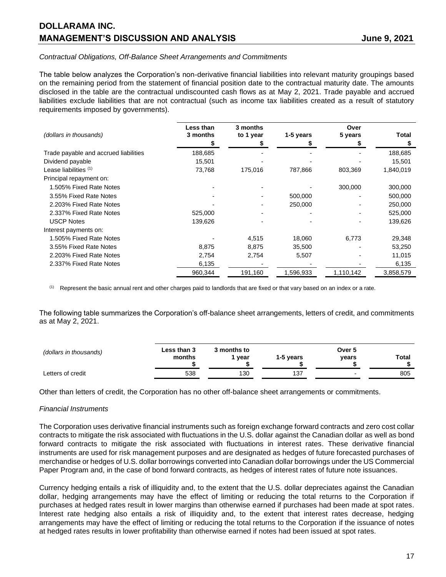# **DOLLARAMA INC. MANAGEMENT'S DISCUSSION AND ANALYSIS State of the State of State 3, 2021**

### *Contractual Obligations, Off-Balance Sheet Arrangements and Commitments*

The table below analyzes the Corporation's non-derivative financial liabilities into relevant maturity groupings based on the remaining period from the statement of financial position date to the contractual maturity date. The amounts disclosed in the table are the contractual undiscounted cash flows as at May 2, 2021. Trade payable and accrued liabilities exclude liabilities that are not contractual (such as income tax liabilities created as a result of statutory requirements imposed by governments).

| (dollars in thousands)                | Less than<br>3 months | 3 months<br>to 1 year | 1-5 years | Over<br>5 years | <b>Total</b> |
|---------------------------------------|-----------------------|-----------------------|-----------|-----------------|--------------|
|                                       |                       |                       |           |                 | S            |
| Trade payable and accrued liabilities | 188,685               |                       |           |                 | 188,685      |
| Dividend payable                      | 15,501                |                       |           |                 | 15,501       |
| Lease liabilities (1)                 | 73,768                | 175,016               | 787,866   | 803,369         | 1,840,019    |
| Principal repayment on:               |                       |                       |           |                 |              |
| 1.505% Fixed Rate Notes               |                       |                       |           | 300,000         | 300,000      |
| 3.55% Fixed Rate Notes                |                       |                       | 500,000   |                 | 500,000      |
| 2.203% Fixed Rate Notes               |                       |                       | 250,000   |                 | 250,000      |
| 2.337% Fixed Rate Notes               | 525,000               |                       |           |                 | 525,000      |
| <b>USCP Notes</b>                     | 139,626               |                       |           |                 | 139,626      |
| Interest payments on:                 |                       |                       |           |                 |              |
| 1.505% Fixed Rate Notes               |                       | 4,515                 | 18,060    | 6,773           | 29,348       |
| 3.55% Fixed Rate Notes                | 8,875                 | 8,875                 | 35,500    |                 | 53,250       |
| 2.203% Fixed Rate Notes               | 2,754                 | 2,754                 | 5,507     |                 | 11,015       |
| 2.337% Fixed Rate Notes               | 6,135                 |                       |           |                 | 6,135        |
|                                       | 960.344               | 191,160               | 1,596,933 | 1,110,142       | 3,858,579    |
|                                       |                       |                       |           |                 |              |

(1) Represent the basic annual rent and other charges paid to landlords that are fixed or that vary based on an index or a rate.

The following table summarizes the Corporation's off-balance sheet arrangements, letters of credit, and commitments as at May 2, 2021.

| (dollars in thousands) | <b>Less than 3</b><br>months | კ months to<br>vear | 1-5 vears | Over 5<br>vears | Total |
|------------------------|------------------------------|---------------------|-----------|-----------------|-------|
| Letters of credit      | 538                          | 130                 | 137       |                 | 805   |

Other than letters of credit, the Corporation has no other off-balance sheet arrangements or commitments.

### *Financial Instruments*

The Corporation uses derivative financial instruments such as foreign exchange forward contracts and zero cost collar contracts to mitigate the risk associated with fluctuations in the U.S. dollar against the Canadian dollar as well as bond forward contracts to mitigate the risk associated with fluctuations in interest rates. These derivative financial instruments are used for risk management purposes and are designated as hedges of future forecasted purchases of merchandise or hedges of U.S. dollar borrowings converted into Canadian dollar borrowings under the US Commercial Paper Program and, in the case of bond forward contracts, as hedges of interest rates of future note issuances.

Currency hedging entails a risk of illiquidity and, to the extent that the U.S. dollar depreciates against the Canadian dollar, hedging arrangements may have the effect of limiting or reducing the total returns to the Corporation if purchases at hedged rates result in lower margins than otherwise earned if purchases had been made at spot rates. Interest rate hedging also entails a risk of illiquidity and, to the extent that interest rates decrease, hedging arrangements may have the effect of limiting or reducing the total returns to the Corporation if the issuance of notes at hedged rates results in lower profitability than otherwise earned if notes had been issued at spot rates.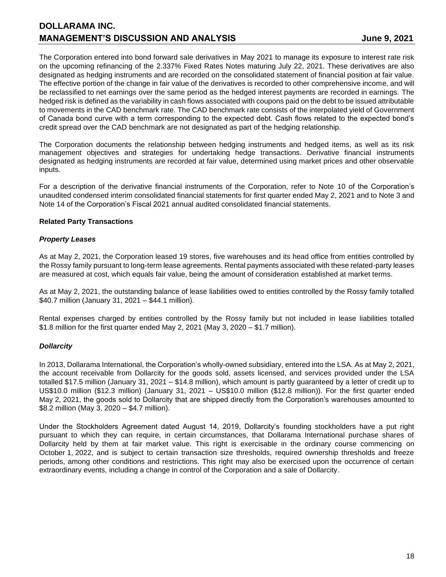The Corporation entered into bond forward sale derivatives in May 2021 to manage its exposure to interest rate risk on the upcoming refinancing of the 2.337% Fixed Rates Notes maturing July 22, 2021. These derivatives are also designated as hedging instruments and are recorded on the consolidated statement of financial position at fair value. The effective portion of the change in fair value of the derivatives is recorded to other comprehensive income, and will be reclassified to net earnings over the same period as the hedged interest payments are recorded in earnings. The hedged risk is defined as the variability in cash flows associated with coupons paid on the debt to be issued attributable to movements in the CAD benchmark rate. The CAD benchmark rate consists of the interpolated yield of Government of Canada bond curve with a term corresponding to the expected debt. Cash flows related to the expected bond's credit spread over the CAD benchmark are not designated as part of the hedging relationship.

The Corporation documents the relationship between hedging instruments and hedged items, as well as its risk management objectives and strategies for undertaking hedge transactions. Derivative financial instruments designated as hedging instruments are recorded at fair value, determined using market prices and other observable inputs.

For a description of the derivative financial instruments of the Corporation, refer to Note 10 of the Corporation's unaudited condensed interim consolidated financial statements for first quarter ended May 2, 2021 and to Note 3 and Note 14 of the Corporation's Fiscal 2021 annual audited consolidated financial statements.

## **Related Party Transactions**

## *Property Leases*

As at May 2, 2021, the Corporation leased 19 stores, five warehouses and its head office from entities controlled by the Rossy family pursuant to long-term lease agreements. Rental payments associated with these related-party leases are measured at cost, which equals fair value, being the amount of consideration established at market terms.

As at May 2, 2021, the outstanding balance of lease liabilities owed to entities controlled by the Rossy family totalled \$40.7 million (January 31, 2021 – \$44.1 million).

Rental expenses charged by entities controlled by the Rossy family but not included in lease liabilities totalled \$1.8 million for the first quarter ended May 2, 2021 (May 3, 2020 – \$1.7 million).

## *Dollarcity*

In 2013, Dollarama International, the Corporation's wholly-owned subsidiary, entered into the LSA. As at May 2, 2021, the account receivable from Dollarcity for the goods sold, assets licensed, and services provided under the LSA totalled \$17.5 million (January 31, 2021 – \$14.8 million), which amount is partly guaranteed by a letter of credit up to US\$10.0 million (\$12.3 million) (January 31, 2021 – US\$10.0 million (\$12.8 million)). For the first quarter ended May 2, 2021, the goods sold to Dollarcity that are shipped directly from the Corporation's warehouses amounted to \$8.2 million (May 3, 2020 – \$4.7 million).

Under the Stockholders Agreement dated August 14, 2019, Dollarcity's founding stockholders have a put right pursuant to which they can require, in certain circumstances, that Dollarama International purchase shares of Dollarcity held by them at fair market value. This right is exercisable in the ordinary course commencing on October 1, 2022, and is subject to certain transaction size thresholds, required ownership thresholds and freeze periods, among other conditions and restrictions. This right may also be exercised upon the occurrence of certain extraordinary events, including a change in control of the Corporation and a sale of Dollarcity.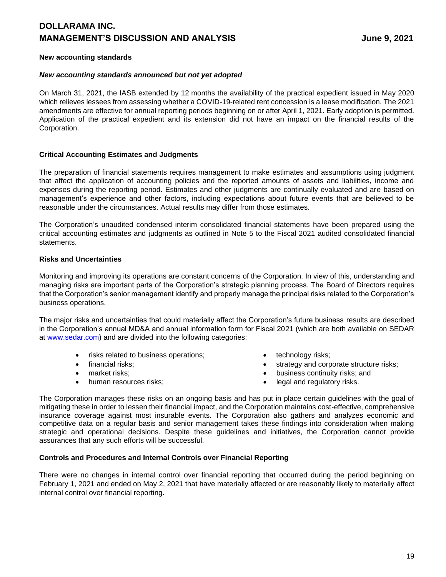# **DOLLARAMA INC. MANAGEMENT'S DISCUSSION AND ANALYSIS State of the State of State 3, 2021**

### **New accounting standards**

### *New accounting standards announced but not yet adopted*

On March 31, 2021, the IASB extended by 12 months the availability of the practical expedient issued in May 2020 which relieves lessees from assessing whether a COVID-19-related rent concession is a lease modification. The 2021 amendments are effective for annual reporting periods beginning on or after April 1, 2021. Early adoption is permitted. Application of the practical expedient and its extension did not have an impact on the financial results of the Corporation.

### **Critical Accounting Estimates and Judgments**

The preparation of financial statements requires management to make estimates and assumptions using judgment that affect the application of accounting policies and the reported amounts of assets and liabilities, income and expenses during the reporting period. Estimates and other judgments are continually evaluated and are based on management's experience and other factors, including expectations about future events that are believed to be reasonable under the circumstances. Actual results may differ from those estimates.

The Corporation's unaudited condensed interim consolidated financial statements have been prepared using the critical accounting estimates and judgments as outlined in Note 5 to the Fiscal 2021 audited consolidated financial statements.

### **Risks and Uncertainties**

Monitoring and improving its operations are constant concerns of the Corporation. In view of this, understanding and managing risks are important parts of the Corporation's strategic planning process. The Board of Directors requires that the Corporation's senior management identify and properly manage the principal risks related to the Corporation's business operations.

The major risks and uncertainties that could materially affect the Corporation's future business results are described in the Corporation's annual MD&A and annual information form for Fiscal 2021 (which are both available on SEDAR at [www.sedar.com\)](http://www.sedar.com/) and are divided into the following categories:

- risks related to business operations;  $\bullet$  technology risks;
- 
- 
- 
- 
- financial risks; example and corporate structure risks; trategy and corporate structure risks;
- market risks; business continuity risks; and
- human resources risks;  $\bullet$  legal and regulatory risks.

The Corporation manages these risks on an ongoing basis and has put in place certain guidelines with the goal of mitigating these in order to lessen their financial impact, and the Corporation maintains cost-effective, comprehensive insurance coverage against most insurable events. The Corporation also gathers and analyzes economic and competitive data on a regular basis and senior management takes these findings into consideration when making strategic and operational decisions. Despite these guidelines and initiatives, the Corporation cannot provide assurances that any such efforts will be successful.

### **Controls and Procedures and Internal Controls over Financial Reporting**

There were no changes in internal control over financial reporting that occurred during the period beginning on February 1, 2021 and ended on May 2, 2021 that have materially affected or are reasonably likely to materially affect internal control over financial reporting.